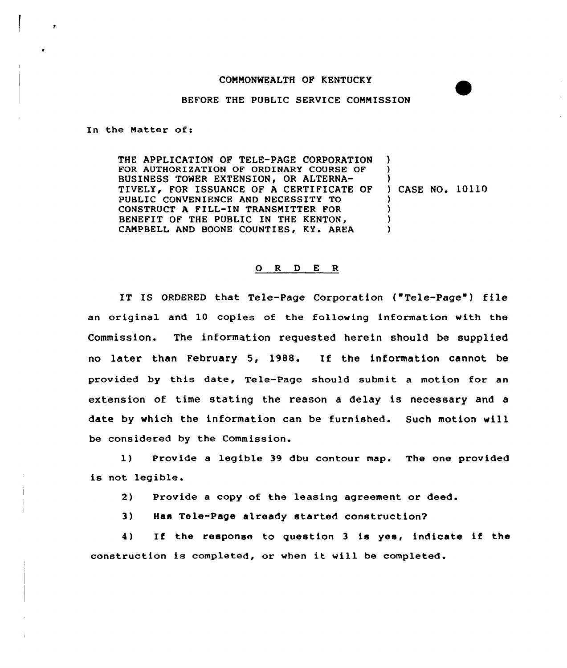## COMMONWEALTH OF KENTUCKY

## BEFORE THE PUBLIC SERVICE COMMISSION

In the Matter of:

 $\cdot$ 

THE APPLICATION OF TELE-PAGE CORPORATION FOR AUTHORIZATION OF ORDINARY COURSE OF BUSINESS TOWER EXTENSION, OR ALTERNA-TIVELY, FOR ISSUANCE OF A CERTIFICATE OF PUBLIC CONVENIENCE AND NECESSITY TO CONSTRUCT <sup>A</sup> FILL-IN TRANSMITTER FOR BENEFIT OF THE PUBLIC IN THE KENTON, CAMPBELL AND BOONE COUNTIES, KY. AREA ) ) ) ) CASE NO. 10110 ) ) ) )

## 0 <sup>R</sup> <sup>D</sup> <sup>E</sup> <sup>R</sup>

IT IS ORDERED that Tele-Page Corporation ("Tele-Page") file an original and 10 copies of the following information with the Commission. The information requested herein should be supplied no later than February 5, 1988. If the information cannot be provided by this date, Tele-Page should submit a motion for an extension of time stating the reason a delay is necessary and a date by which the information can be furnished. Such motion will be considered by the Commission.

I) Provide <sup>a</sup> legible 39 dbu contour map. The one provided is not legible.

2) Provide a copy of the leasing agreement or deed.

3) Has Tele-Pape already started construction7

4) If the response to question <sup>3</sup> is yes, indicate if the construction is completed, or when it will be completed.